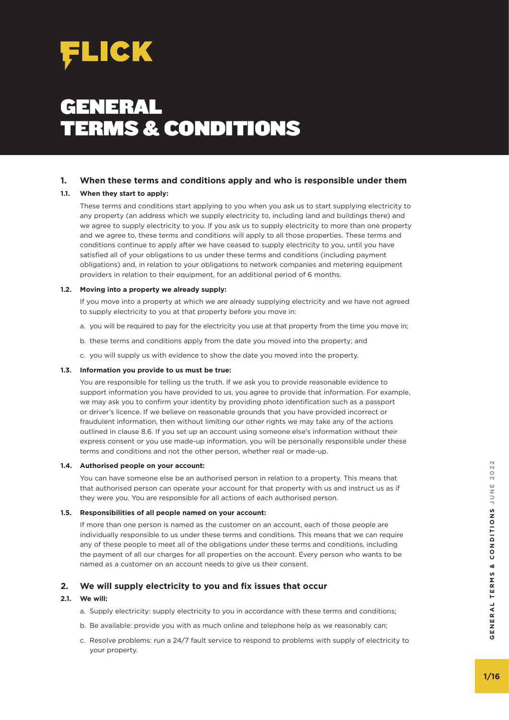

# GENERAL TERMS & CONDITIONS

# **1. When these terms and conditions apply and who is responsible under them**

# **1.1. When they start to apply:**

 These terms and conditions start applying to you when you ask us to start supplying electricity to any property (an address which we supply electricity to, including land and buildings there) and we agree to supply electricity to you. If you ask us to supply electricity to more than one property and we agree to, these terms and conditions will apply to all those properties. These terms and conditions continue to apply after we have ceased to supply electricity to you, until you have satisfied all of your obligations to us under these terms and conditions (including payment obligations) and, in relation to your obligations to network companies and metering equipment providers in relation to their equipment, for an additional period of 6 months.

## **1.2. Moving into a property we already supply:**

 If you move into a property at which we are already supplying electricity and we have not agreed to supply electricity to you at that property before you move in:

- a. you will be required to pay for the electricity you use at that property from the time you move in;
- b. these terms and conditions apply from the date you moved into the property; and
- c. you will supply us with evidence to show the date you moved into the property.

## **1.3. Information you provide to us must be true:**

 You are responsible for telling us the truth. If we ask you to provide reasonable evidence to support information you have provided to us, you agree to provide that information. For example, we may ask you to confirm your identity by providing photo identification such as a passport or driver's licence. If we believe on reasonable grounds that you have provided incorrect or fraudulent information, then without limiting our other rights we may take any of the actions outlined in clause 8.6. If you set up an account using someone else's information without their express consent or you use made-up information, you will be personally responsible under these terms and conditions and not the other person, whether real or made-up.

# **1.4. Authorised people on your account:**

 You can have someone else be an authorised person in relation to a property. This means that that authorised person can operate your account for that property with us and instruct us as if they were you. You are responsible for all actions of each authorised person.

## **1.5. Responsibilities of all people named on your account:**

 If more than one person is named as the customer on an account, each of those people are individually responsible to us under these terms and conditions. This means that we can require any of these people to meet all of the obligations under these terms and conditions, including the payment of all our charges for all properties on the account. Every person who wants to be named as a customer on an account needs to give us their consent.

# **2. We will supply electricity to you and fix issues that occur**

## **2.1. We will:**

- a. Supply electricity: supply electricity to you in accordance with these terms and conditions;
- b. Be available: provide you with as much online and telephone help as we reasonably can;
- c. Resolve problems: run a 24/7 fault service to respond to problems with supply of electricity to your property.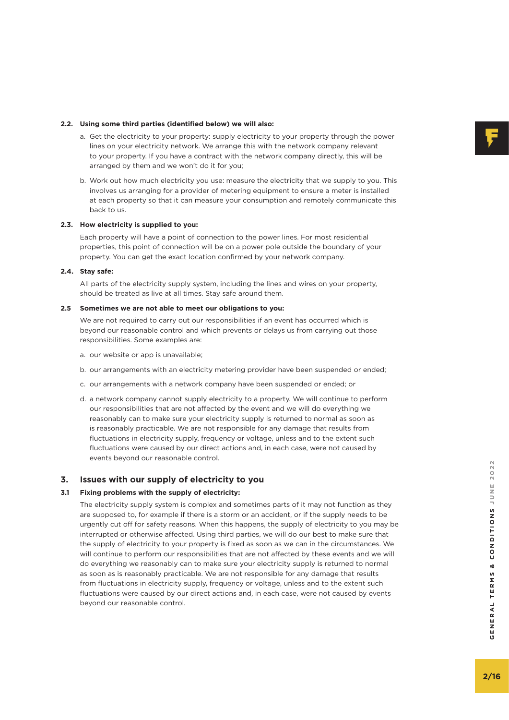# **2.2. Using some third parties (identified below) we will also:**

- a. Get the electricity to your property: supply electricity to your property through the power lines on your electricity network. We arrange this with the network company relevant to your property. If you have a contract with the network company directly, this will be arranged by them and we won't do it for you;
- b. Work out how much electricity you use: measure the electricity that we supply to you. This involves us arranging for a provider of metering equipment to ensure a meter is installed at each property so that it can measure your consumption and remotely communicate this back to us.

# **2.3. How electricity is supplied to you:**

 Each property will have a point of connection to the power lines. For most residential properties, this point of connection will be on a power pole outside the boundary of your property. You can get the exact location confirmed by your network company.

# **2.4. Stay safe:**

 All parts of the electricity supply system, including the lines and wires on your property, should be treated as live at all times. Stay safe around them.

# **2.5 Sometimes we are not able to meet our obligations to you:**

 We are not required to carry out our responsibilities if an event has occurred which is beyond our reasonable control and which prevents or delays us from carrying out those responsibilities. Some examples are:

- a. our website or app is unavailable;
- b. our arrangements with an electricity metering provider have been suspended or ended;
- c. our arrangements with a network company have been suspended or ended; or
- d. a network company cannot supply electricity to a property. We will continue to perform our responsibilities that are not affected by the event and we will do everything we reasonably can to make sure your electricity supply is returned to normal as soon as is reasonably practicable. We are not responsible for any damage that results from fluctuations in electricity supply, frequency or voltage, unless and to the extent such fluctuations were caused by our direct actions and, in each case, were not caused by events beyond our reasonable control.

# **3. Issues with our supply of electricity to you**

# **3.1 Fixing problems with the supply of electricity:**

 The electricity supply system is complex and sometimes parts of it may not function as they are supposed to, for example if there is a storm or an accident, or if the supply needs to be urgently cut off for safety reasons. When this happens, the supply of electricity to you may be interrupted or otherwise affected. Using third parties, we will do our best to make sure that the supply of electricity to your property is fixed as soon as we can in the circumstances. We will continue to perform our responsibilities that are not affected by these events and we will do everything we reasonably can to make sure your electricity supply is returned to normal as soon as is reasonably practicable. We are not responsible for any damage that results from fluctuations in electricity supply, frequency or voltage, unless and to the extent such fluctuations were caused by our direct actions and, in each case, were not caused by events beyond our reasonable control.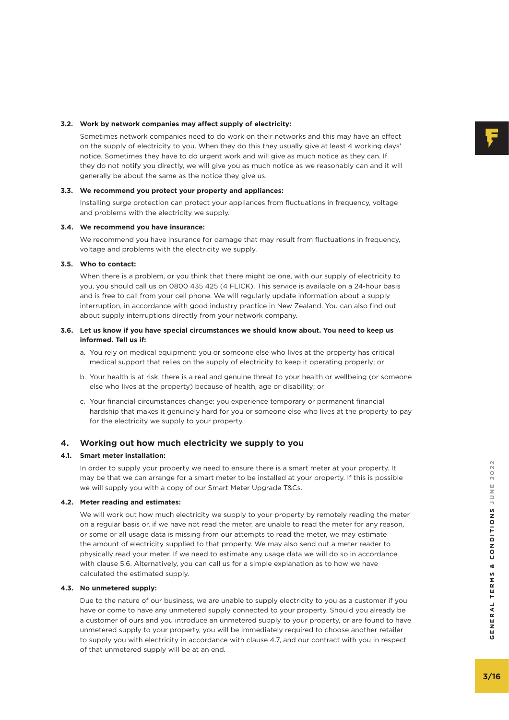# **3.2. Work by network companies may affect supply of electricity:**

 Sometimes network companies need to do work on their networks and this may have an effect on the supply of electricity to you. When they do this they usually give at least 4 working days' notice. Sometimes they have to do urgent work and will give as much notice as they can. If they do not notify you directly, we will give you as much notice as we reasonably can and it will generally be about the same as the notice they give us.

# **3.3. We recommend you protect your property and appliances:**

 Installing surge protection can protect your appliances from fluctuations in frequency, voltage and problems with the electricity we supply.

# **3.4. We recommend you have insurance:**

 We recommend you have insurance for damage that may result from fluctuations in frequency, voltage and problems with the electricity we supply.

# **3.5. Who to contact:**

 When there is a problem, or you think that there might be one, with our supply of electricity to you, you should call us on 0800 435 425 (4 FLICK). This service is available on a 24-hour basis and is free to call from your cell phone. We will regularly update information about a supply interruption, in accordance with good industry practice in New Zealand. You can also find out about supply interruptions directly from your network company.

# **3.6. Let us know if you have special circumstances we should know about. You need to keep us informed. Tell us if:**

- a. You rely on medical equipment: you or someone else who lives at the property has critical medical support that relies on the supply of electricity to keep it operating properly; or
- b. Your health is at risk: there is a real and genuine threat to your health or wellbeing (or someone else who lives at the property) because of health, age or disability; or
- c. Your financial circumstances change: you experience temporary or permanent financial hardship that makes it genuinely hard for you or someone else who lives at the property to pay for the electricity we supply to your property.

# **4. Working out how much electricity we supply to you**

# **4.1. Smart meter installation:**

 In order to supply your property we need to ensure there is a smart meter at your property. It may be that we can arrange for a smart meter to be installed at your property. If this is possible we will supply you with a copy of our Smart Meter Upgrade T&Cs.

# **4.2. Meter reading and estimates:**

 We will work out how much electricity we supply to your property by remotely reading the meter on a regular basis or, if we have not read the meter, are unable to read the meter for any reason, or some or all usage data is missing from our attempts to read the meter, we may estimate the amount of electricity supplied to that property. We may also send out a meter reader to physically read your meter. If we need to estimate any usage data we will do so in accordance with clause 5.6. Alternatively, you can call us for a simple explanation as to how we have calculated the estimated supply.

# **4.3. No unmetered supply:**

 Due to the nature of our business, we are unable to supply electricity to you as a customer if you have or come to have any unmetered supply connected to your property. Should you already be a customer of ours and you introduce an unmetered supply to your property, or are found to have unmetered supply to your property, you will be immediately required to choose another retailer to supply you with electricity in accordance with clause 4.7, and our contract with you in respect of that unmetered supply will be at an end.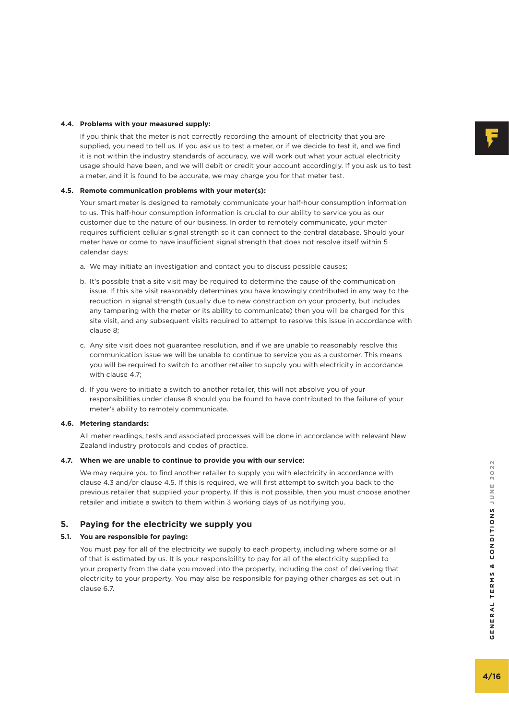## **4.4. Problems with your measured supply:**

 If you think that the meter is not correctly recording the amount of electricity that you are supplied, you need to tell us. If you ask us to test a meter, or if we decide to test it, and we find it is not within the industry standards of accuracy, we will work out what your actual electricity usage should have been, and we will debit or credit your account accordingly. If you ask us to test a meter, and it is found to be accurate, we may charge you for that meter test.

# **4.5. Remote communication problems with your meter(s):**

 Your smart meter is designed to remotely communicate your half-hour consumption information to us. This half-hour consumption information is crucial to our ability to service you as our customer due to the nature of our business. In order to remotely communicate, your meter requires sufficient cellular signal strength so it can connect to the central database. Should your meter have or come to have insufficient signal strength that does not resolve itself within 5 calendar days:

- a. We may initiate an investigation and contact you to discuss possible causes;
- b. It's possible that a site visit may be required to determine the cause of the communication issue. If this site visit reasonably determines you have knowingly contributed in any way to the reduction in signal strength (usually due to new construction on your property, but includes any tampering with the meter or its ability to communicate) then you will be charged for this site visit, and any subsequent visits required to attempt to resolve this issue in accordance with clause 8;
- c. Any site visit does not guarantee resolution, and if we are unable to reasonably resolve this communication issue we will be unable to continue to service you as a customer. This means you will be required to switch to another retailer to supply you with electricity in accordance with clause 4.7;
- d. If you were to initiate a switch to another retailer, this will not absolve you of your responsibilities under clause 8 should you be found to have contributed to the failure of your meter's ability to remotely communicate.

## **4.6. Metering standards:**

 All meter readings, tests and associated processes will be done in accordance with relevant New Zealand industry protocols and codes of practice.

#### **4.7. When we are unable to continue to provide you with our service:**

 We may require you to find another retailer to supply you with electricity in accordance with clause 4.3 and/or clause 4.5. If this is required, we will first attempt to switch you back to the previous retailer that supplied your property. If this is not possible, then you must choose another retailer and initiate a switch to them within 3 working days of us notifying you.

## **5. Paying for the electricity we supply you**

## **5.1. You are responsible for paying:**

 You must pay for all of the electricity we supply to each property, including where some or all of that is estimated by us. It is your responsibility to pay for all of the electricity supplied to your property from the date you moved into the property, including the cost of delivering that electricity to your property. You may also be responsible for paying other charges as set out in clause 6.7.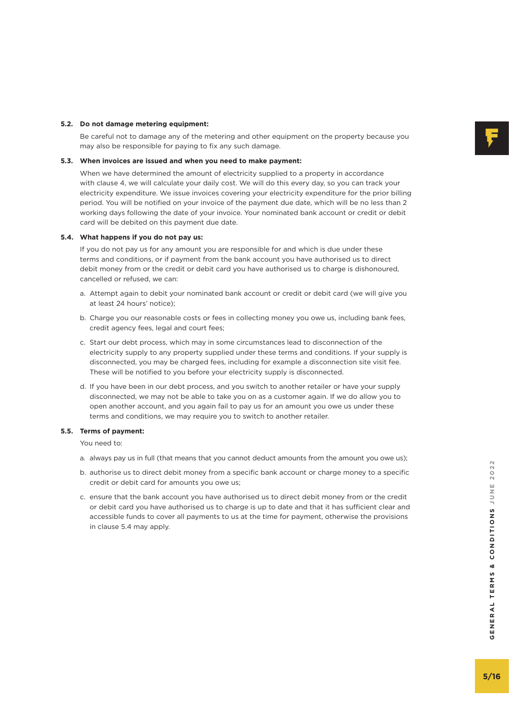# **5.2. Do not damage metering equipment:**

 Be careful not to damage any of the metering and other equipment on the property because you may also be responsible for paying to fix any such damage.

#### **5.3. When invoices are issued and when you need to make payment:**

 When we have determined the amount of electricity supplied to a property in accordance with clause 4, we will calculate your daily cost. We will do this every day, so you can track your electricity expenditure. We issue invoices covering your electricity expenditure for the prior billing period. You will be notified on your invoice of the payment due date, which will be no less than 2 working days following the date of your invoice. Your nominated bank account or credit or debit card will be debited on this payment due date.

## **5.4. What happens if you do not pay us:**

 If you do not pay us for any amount you are responsible for and which is due under these terms and conditions, or if payment from the bank account you have authorised us to direct debit money from or the credit or debit card you have authorised us to charge is dishonoured, cancelled or refused, we can:

- a. Attempt again to debit your nominated bank account or credit or debit card (we will give you at least 24 hours' notice);
- b. Charge you our reasonable costs or fees in collecting money you owe us, including bank fees, credit agency fees, legal and court fees;
- c. Start our debt process, which may in some circumstances lead to disconnection of the electricity supply to any property supplied under these terms and conditions. If your supply is disconnected, you may be charged fees, including for example a disconnection site visit fee. These will be notified to you before your electricity supply is disconnected.
- d. If you have been in our debt process, and you switch to another retailer or have your supply disconnected, we may not be able to take you on as a customer again. If we do allow you to open another account, and you again fail to pay us for an amount you owe us under these terms and conditions, we may require you to switch to another retailer.

#### **5.5. Terms of payment:**

You need to:

- a. always pay us in full (that means that you cannot deduct amounts from the amount you owe us);
- b. authorise us to direct debit money from a specific bank account or charge money to a specific credit or debit card for amounts you owe us;
- c. ensure that the bank account you have authorised us to direct debit money from or the credit or debit card you have authorised us to charge is up to date and that it has sufficient clear and accessible funds to cover all payments to us at the time for payment, otherwise the provisions in clause 5.4 may apply.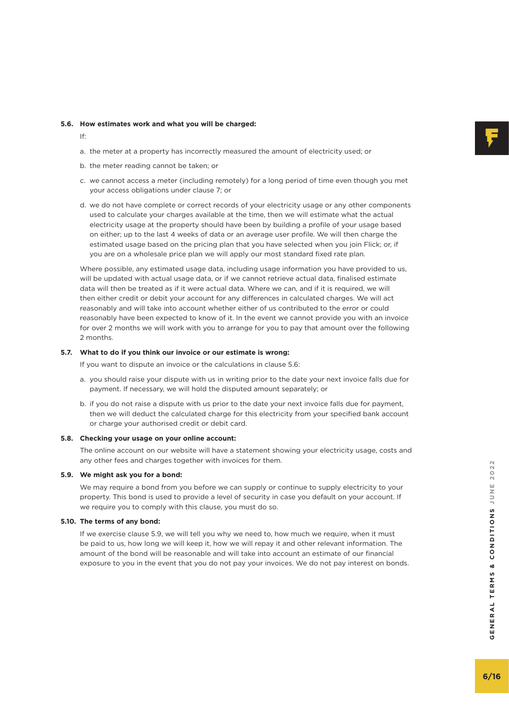# **5.6. How estimates work and what you will be charged:**

- If:
- a. the meter at a property has incorrectly measured the amount of electricity used; or
- b. the meter reading cannot be taken; or
- c. we cannot access a meter (including remotely) for a long period of time even though you met your access obligations under clause 7; or
- d. we do not have complete or correct records of your electricity usage or any other components used to calculate your charges available at the time, then we will estimate what the actual electricity usage at the property should have been by building a profile of your usage based on either; up to the last 4 weeks of data or an average user profile. We will then charge the estimated usage based on the pricing plan that you have selected when you join Flick; or, if you are on a wholesale price plan we will apply our most standard fixed rate plan.

Where possible, any estimated usage data, including usage information you have provided to us, will be updated with actual usage data, or if we cannot retrieve actual data, finalised estimate data will then be treated as if it were actual data. Where we can, and if it is required, we will then either credit or debit your account for any differences in calculated charges. We will act reasonably and will take into account whether either of us contributed to the error or could reasonably have been expected to know of it. In the event we cannot provide you with an invoice for over 2 months we will work with you to arrange for you to pay that amount over the following 2 months.

#### **5.7. What to do if you think our invoice or our estimate is wrong:**

If you want to dispute an invoice or the calculations in clause 5.6:

- a. you should raise your dispute with us in writing prior to the date your next invoice falls due for payment. If necessary, we will hold the disputed amount separately; or
- b. if you do not raise a dispute with us prior to the date your next invoice falls due for payment, then we will deduct the calculated charge for this electricity from your specified bank account or charge your authorised credit or debit card.

#### **5.8. Checking your usage on your online account:**

 The online account on our website will have a statement showing your electricity usage, costs and any other fees and charges together with invoices for them.

#### **5.9. We might ask you for a bond:**

We may require a bond from you before we can supply or continue to supply electricity to your property. This bond is used to provide a level of security in case you default on your account. If we require you to comply with this clause, you must do so.

#### **5.10. The terms of any bond:**

 If we exercise clause 5.9, we will tell you why we need to, how much we require, when it must be paid to us, how long we will keep it, how we will repay it and other relevant information. The amount of the bond will be reasonable and will take into account an estimate of our financial exposure to you in the event that you do not pay your invoices. We do not pay interest on bonds.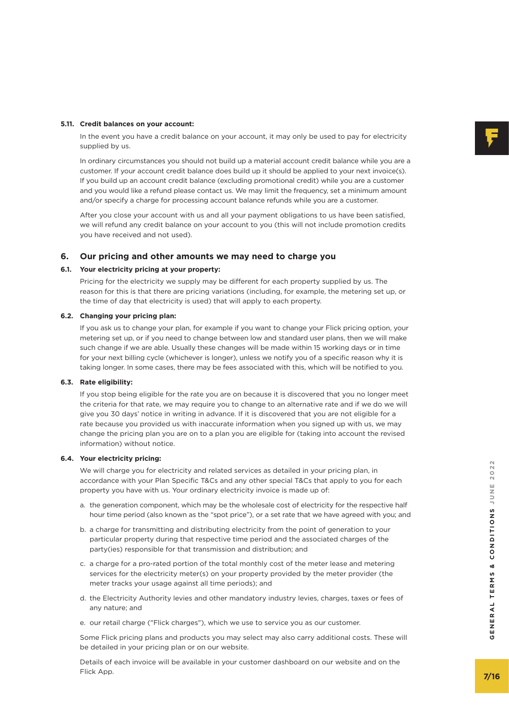## **5.11. Credit balances on your account:**

 In the event you have a credit balance on your account, it may only be used to pay for electricity supplied by us.

 In ordinary circumstances you should not build up a material account credit balance while you are a customer. If your account credit balance does build up it should be applied to your next invoice(s). If you build up an account credit balance (excluding promotional credit) while you are a customer and you would like a refund please contact us. We may limit the frequency, set a minimum amount and/or specify a charge for processing account balance refunds while you are a customer.

 After you close your account with us and all your payment obligations to us have been satisfied, we will refund any credit balance on your account to you (this will not include promotion credits you have received and not used).

## **6. Our pricing and other amounts we may need to charge you**

## **6.1. Your electricity pricing at your property:**

 Pricing for the electricity we supply may be different for each property supplied by us. The reason for this is that there are pricing variations (including, for example, the metering set up, or the time of day that electricity is used) that will apply to each property.

#### **6.2. Changing your pricing plan:**

 If you ask us to change your plan, for example if you want to change your Flick pricing option, your metering set up, or if you need to change between low and standard user plans, then we will make such change if we are able. Usually these changes will be made within 15 working days or in time for your next billing cycle (whichever is longer), unless we notify you of a specific reason why it is taking longer. In some cases, there may be fees associated with this, which will be notified to you.

## **6.3. Rate eligibility:**

 If you stop being eligible for the rate you are on because it is discovered that you no longer meet the criteria for that rate, we may require you to change to an alternative rate and if we do we will give you 30 days' notice in writing in advance. If it is discovered that you are not eligible for a rate because you provided us with inaccurate information when you signed up with us, we may change the pricing plan you are on to a plan you are eligible for (taking into account the revised information) without notice.

#### **6.4. Your electricity pricing:**

 We will charge you for electricity and related services as detailed in your pricing plan, in accordance with your Plan Specific T&Cs and any other special T&Cs that apply to you for each property you have with us. Your ordinary electricity invoice is made up of:

- a. the generation component, which may be the wholesale cost of electricity for the respective half hour time period (also known as the "spot price"), or a set rate that we have agreed with you; and
- b. a charge for transmitting and distributing electricity from the point of generation to your particular property during that respective time period and the associated charges of the party(ies) responsible for that transmission and distribution; and
- c. a charge for a pro-rated portion of the total monthly cost of the meter lease and metering services for the electricity meter(s) on your property provided by the meter provider (the meter tracks your usage against all time periods); and We will charge you for electricity and related services as detailed in your pricing plan, in<br>accordance with your Plan Specific T&Cs and any other special T&Cs that apply to you for each<br>property you have with us. Your ord
- d. the Electricity Authority levies and other mandatory industry levies, charges, taxes or fees of any nature; and
- e. our retail charge ("Flick charges"), which we use to service you as our customer.

 Some Flick pricing plans and products you may select may also carry additional costs. These will be detailed in your pricing plan or on our website.

Details of each invoice will be available in your customer dashboard on our website and on the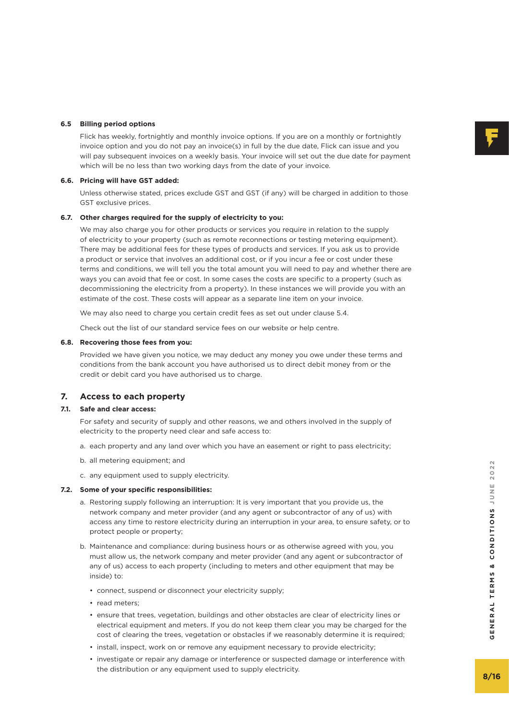#### **6.5 Billing period options**

 Flick has weekly, fortnightly and monthly invoice options. If you are on a monthly or fortnightly invoice option and you do not pay an invoice(s) in full by the due date, Flick can issue and you will pay subsequent invoices on a weekly basis. Your invoice will set out the due date for payment which will be no less than two working days from the date of your invoice.

#### **6.6. Pricing will have GST added:**

 Unless otherwise stated, prices exclude GST and GST (if any) will be charged in addition to those GST exclusive prices.

#### **6.7. Other charges required for the supply of electricity to you:**

 We may also charge you for other products or services you require in relation to the supply of electricity to your property (such as remote reconnections or testing metering equipment). There may be additional fees for these types of products and services. If you ask us to provide a product or service that involves an additional cost, or if you incur a fee or cost under these terms and conditions, we will tell you the total amount you will need to pay and whether there are ways you can avoid that fee or cost. In some cases the costs are specific to a property (such as decommissioning the electricity from a property). In these instances we will provide you with an estimate of the cost. These costs will appear as a separate line item on your invoice.

We may also need to charge you certain credit fees as set out under clause 5.4.

Check out the list of our standard service fees on our website or help centre.

#### **6.8. Recovering those fees from you:**

 Provided we have given you notice, we may deduct any money you owe under these terms and conditions from the bank account you have authorised us to direct debit money from or the credit or debit card you have authorised us to charge.

# **7. Access to each property**

#### **7.1. Safe and clear access:**

 For safety and security of supply and other reasons, we and others involved in the supply of electricity to the property need clear and safe access to:

- a. each property and any land over which you have an easement or right to pass electricity;
- b. all metering equipment; and
- c. any equipment used to supply electricity.

#### **7.2. Some of your specific responsibilities:**

- a. Restoring supply following an interruption: It is very important that you provide us, the network company and meter provider (and any agent or subcontractor of any of us) with access any time to restore electricity during an interruption in your area, to ensure safety, or to protect people or property;
- b. Maintenance and compliance: during business hours or as otherwise agreed with you, you must allow us, the network company and meter provider (and any agent or subcontractor of any of us) access to each property (including to meters and other equipment that may be inside) to:
	- connect, suspend or disconnect your electricity supply;
	- read meters;
	- ensure that trees, vegetation, buildings and other obstacles are clear of electricity lines or electrical equipment and meters. If you do not keep them clear you may be charged for the cost of clearing the trees, vegetation or obstacles if we reasonably determine it is required;
	- install, inspect, work on or remove any equipment necessary to provide electricity;
	- investigate or repair any damage or interference or suspected damage or interference with the distribution or any equipment used to supply electricity.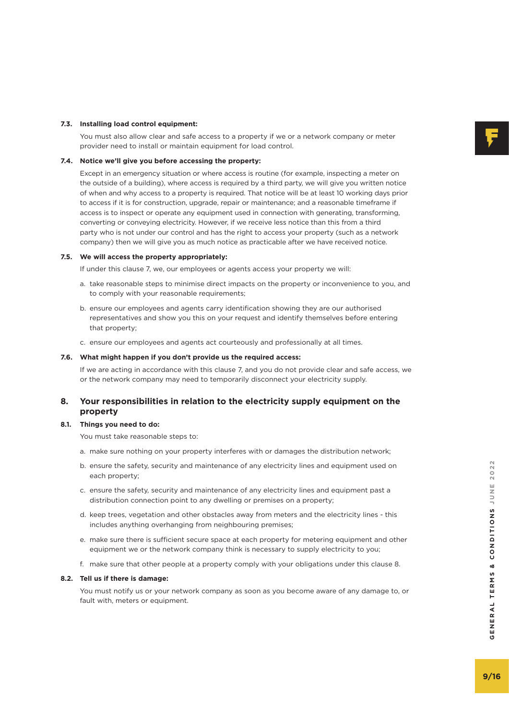#### **7.3. Installing load control equipment:**

 You must also allow clear and safe access to a property if we or a network company or meter provider need to install or maintain equipment for load control.

#### **7.4. Notice we'll give you before accessing the property:**

 Except in an emergency situation or where access is routine (for example, inspecting a meter on the outside of a building), where access is required by a third party, we will give you written notice of when and why access to a property is required. That notice will be at least 10 working days prior to access if it is for construction, upgrade, repair or maintenance; and a reasonable timeframe if access is to inspect or operate any equipment used in connection with generating, transforming, converting or conveying electricity. However, if we receive less notice than this from a third party who is not under our control and has the right to access your property (such as a network company) then we will give you as much notice as practicable after we have received notice.

## **7.5. We will access the property appropriately:**

If under this clause 7, we, our employees or agents access your property we will:

- a. take reasonable steps to minimise direct impacts on the property or inconvenience to you, and to comply with your reasonable requirements;
- b. ensure our employees and agents carry identification showing they are our authorised representatives and show you this on your request and identify themselves before entering that property;
- c. ensure our employees and agents act courteously and professionally at all times.

#### **7.6. What might happen if you don't provide us the required access:**

 If we are acting in accordance with this clause 7, and you do not provide clear and safe access, we or the network company may need to temporarily disconnect your electricity supply.

# **8. Your responsibilities in relation to the electricity supply equipment on the property**

#### **8.1. Things you need to do:**

You must take reasonable steps to:

- a. make sure nothing on your property interferes with or damages the distribution network;
- b. ensure the safety, security and maintenance of any electricity lines and equipment used on each property;
- c. ensure the safety, security and maintenance of any electricity lines and equipment past a distribution connection point to any dwelling or premises on a property;
- d. keep trees, vegetation and other obstacles away from meters and the electricity lines this includes anything overhanging from neighbouring premises;
- e. make sure there is sufficient secure space at each property for metering equipment and other equipment we or the network company think is necessary to supply electricity to you;
- f. make sure that other people at a property comply with your obligations under this clause 8.

## **8.2. Tell us if there is damage:**

 You must notify us or your network company as soon as you become aware of any damage to, or fault with, meters or equipment.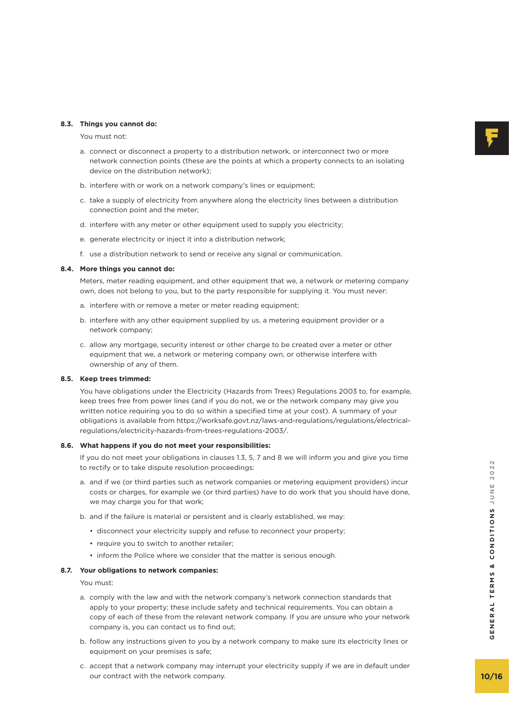# **8.3. Things you cannot do:**

You must not:

- a. connect or disconnect a property to a distribution network, or interconnect two or more network connection points (these are the points at which a property connects to an isolating device on the distribution network);
- b. interfere with or work on a network company's lines or equipment;
- c. take a supply of electricity from anywhere along the electricity lines between a distribution connection point and the meter;
- d. interfere with any meter or other equipment used to supply you electricity;
- e. generate electricity or inject it into a distribution network;
- f. use a distribution network to send or receive any signal or communication.

#### **8.4. More things you cannot do:**

 Meters, meter reading equipment, and other equipment that we, a network or metering company own, does not belong to you, but to the party responsible for supplying it. You must never:

- a. interfere with or remove a meter or meter reading equipment;
- b. interfere with any other equipment supplied by us, a metering equipment provider or a network company;
- c. allow any mortgage, security interest or other charge to be created over a meter or other equipment that we, a network or metering company own, or otherwise interfere with ownership of any of them.

## **8.5. Keep trees trimmed:**

 You have obligations under the Electricity (Hazards from Trees) Regulations 2003 to, for example, keep trees free from power lines (and if you do not, we or the network company may give you written notice requiring you to do so within a specified time at your cost). A summary of your obligations is available from https://worksafe.govt.nz/laws-and-regulations/regulations/electricalregulations/electricity-hazards-from-trees-regulations-2003/.

#### **8.6. What happens if you do not meet your responsibilities:**

 If you do not meet your obligations in clauses 1.3, 5, 7 and 8 we will inform you and give you time to rectify or to take dispute resolution proceedings:

- a. and if we (or third parties such as network companies or metering equipment providers) incur costs or charges, for example we (or third parties) have to do work that you should have done, we may charge you for that work;
- b. and if the failure is material or persistent and is clearly established, we may:
	- disconnect your electricity supply and refuse to reconnect your property;
	- require you to switch to another retailer;
	- inform the Police where we consider that the matter is serious enough.

#### **8.7. Your obligations to network companies:**

You must:

- a. comply with the law and with the network company's network connection standards that apply to your property; these include safety and technical requirements. You can obtain a copy of each of these from the relevant network company. If you are unsure who your network company is, you can contact us to find out; rectify or to take dispute resolution proceedings:<br>
and if we (or third parties such as network companies or metering equipment providers) incur<br>
costs or charges, for example we (or third parties) have to do work that you
- b. follow any instructions given to you by a network company to make sure its electricity lines or equipment on your premises is safe;
- c. accept that a network company may interrupt your electricity supply if we are in default under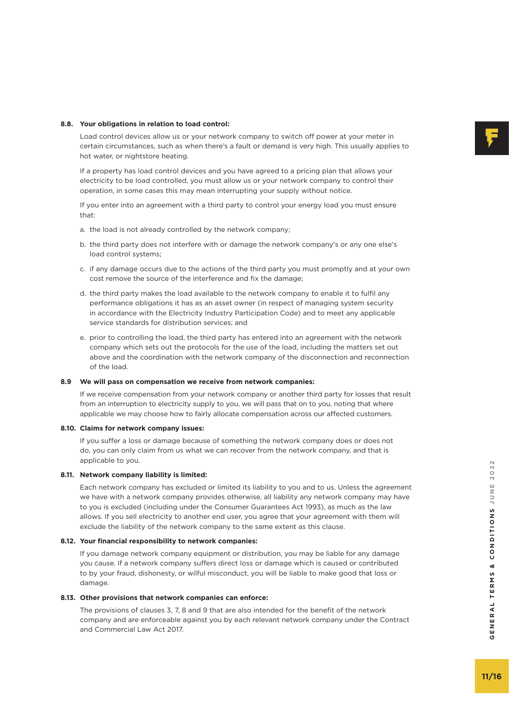# **8.8. Your obligations in relation to load control:**

 Load control devices allow us or your network company to switch off power at your meter in certain circumstances, such as when there's a fault or demand is very high. This usually applies to hot water, or nightstore heating.

 If a property has load control devices and you have agreed to a pricing plan that allows your electricity to be load controlled, you must allow us or your network company to control their operation, in some cases this may mean interrupting your supply without notice.

 If you enter into an agreement with a third party to control your energy load you must ensure that:

- a. the load is not already controlled by the network company;
- b. the third party does not interfere with or damage the network company's or any one else's load control systems;
- c. if any damage occurs due to the actions of the third party you must promptly and at your own cost remove the source of the interference and fix the damage;
- d. the third party makes the load available to the network company to enable it to fulfil any performance obligations it has as an asset owner (in respect of managing system security in accordance with the Electricity Industry Participation Code) and to meet any applicable service standards for distribution services; and
- e. prior to controlling the load, the third party has entered into an agreement with the network company which sets out the protocols for the use of the load, including the matters set out above and the coordination with the network company of the disconnection and reconnection of the load.

# **8.9 We will pass on compensation we receive from network companies:**

 If we receive compensation from your network company or another third party for losses that result from an interruption to electricity supply to you, we will pass that on to you, noting that where applicable we may choose how to fairly allocate compensation across our affected customers.

# **8.10. Claims for network company issues:**

 If you suffer a loss or damage because of something the network company does or does not do, you can only claim from us what we can recover from the network company, and that is applicable to you.

# **8.11. Network company liability is limited:**

 Each network company has excluded or limited its liability to you and to us. Unless the agreement we have with a network company provides otherwise, all liability any network company may have to you is excluded (including under the Consumer Guarantees Act 1993), as much as the law allows. If you sell electricity to another end user, you agree that your agreement with them will exclude the liability of the network company to the same extent as this clause.

# **8.12. Your financial responsibility to network companies:**

 If you damage network company equipment or distribution, you may be liable for any damage you cause. If a network company suffers direct loss or damage which is caused or contributed to by your fraud, dishonesty, or wilful misconduct, you will be liable to make good that loss or damage.

# **8.13. Other provisions that network companies can enforce:**

 The provisions of clauses 3, 7, 8 and 9 that are also intended for the benefit of the network company and are enforceable against you by each relevant network company under the Contract and Commercial Law Act 2017.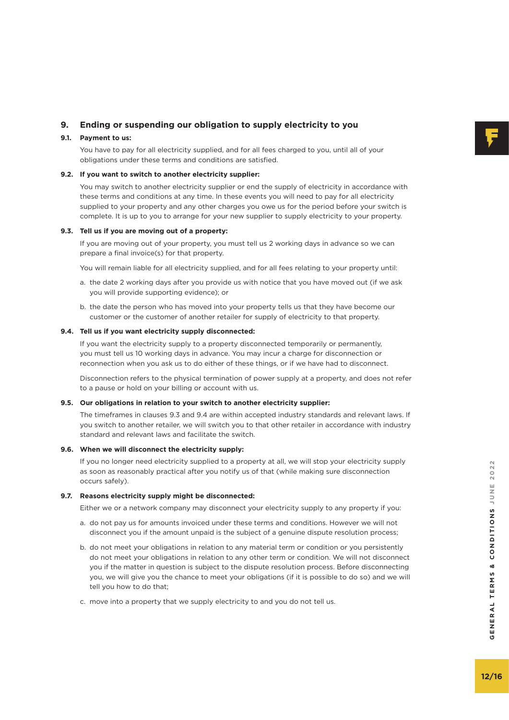# **9. Ending or suspending our obligation to supply electricity to you**

# **9.1. Payment to us:**

 You have to pay for all electricity supplied, and for all fees charged to you, until all of your obligations under these terms and conditions are satisfied.

# **9.2. If you want to switch to another electricity supplier:**

 You may switch to another electricity supplier or end the supply of electricity in accordance with these terms and conditions at any time. In these events you will need to pay for all electricity supplied to your property and any other charges you owe us for the period before your switch is complete. It is up to you to arrange for your new supplier to supply electricity to your property.

## **9.3. Tell us if you are moving out of a property:**

 If you are moving out of your property, you must tell us 2 working days in advance so we can prepare a final invoice(s) for that property.

You will remain liable for all electricity supplied, and for all fees relating to your property until:

- a. the date 2 working days after you provide us with notice that you have moved out (if we ask you will provide supporting evidence); or
- b. the date the person who has moved into your property tells us that they have become our customer or the customer of another retailer for supply of electricity to that property.

## **9.4. Tell us if you want electricity supply disconnected:**

 If you want the electricity supply to a property disconnected temporarily or permanently, you must tell us 10 working days in advance. You may incur a charge for disconnection or reconnection when you ask us to do either of these things, or if we have had to disconnect.

 Disconnection refers to the physical termination of power supply at a property, and does not refer to a pause or hold on your billing or account with us.

#### **9.5. Our obligations in relation to your switch to another electricity supplier:**

 The timeframes in clauses 9.3 and 9.4 are within accepted industry standards and relevant laws. If you switch to another retailer, we will switch you to that other retailer in accordance with industry standard and relevant laws and facilitate the switch.

#### **9.6. When we will disconnect the electricity supply:**

 If you no longer need electricity supplied to a property at all, we will stop your electricity supply as soon as reasonably practical after you notify us of that (while making sure disconnection occurs safely).

## **9.7. Reasons electricity supply might be disconnected:**

Either we or a network company may disconnect your electricity supply to any property if you:

- a. do not pay us for amounts invoiced under these terms and conditions. However we will not disconnect you if the amount unpaid is the subject of a genuine dispute resolution process;
- b. do not meet your obligations in relation to any material term or condition or you persistently do not meet your obligations in relation to any other term or condition. We will not disconnect you if the matter in question is subject to the dispute resolution process. Before disconnecting you, we will give you the chance to meet your obligations (if it is possible to do so) and we will tell you how to do that;
- c. move into a property that we supply electricity to and you do not tell us.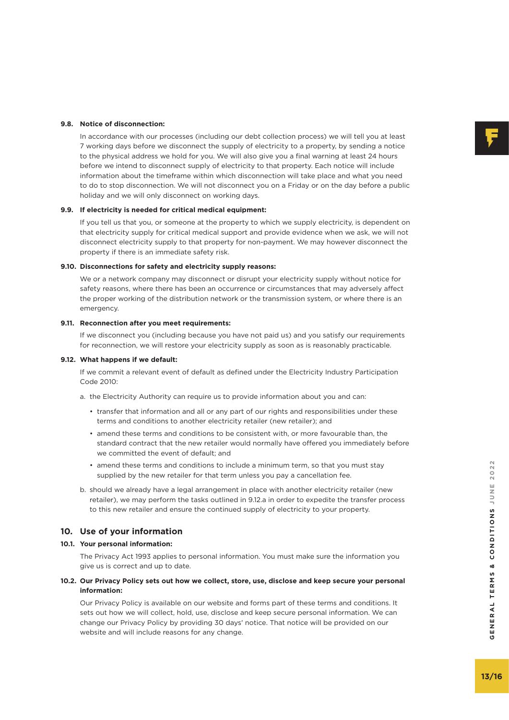#### **9.8. Notice of disconnection:**

 In accordance with our processes (including our debt collection process) we will tell you at least 7 working days before we disconnect the supply of electricity to a property, by sending a notice to the physical address we hold for you. We will also give you a final warning at least 24 hours before we intend to disconnect supply of electricity to that property. Each notice will include information about the timeframe within which disconnection will take place and what you need to do to stop disconnection. We will not disconnect you on a Friday or on the day before a public holiday and we will only disconnect on working days.

#### **9.9. If electricity is needed for critical medical equipment:**

 If you tell us that you, or someone at the property to which we supply electricity, is dependent on that electricity supply for critical medical support and provide evidence when we ask, we will not disconnect electricity supply to that property for non-payment. We may however disconnect the property if there is an immediate safety risk.

#### **9.10. Disconnections for safety and electricity supply reasons:**

 We or a network company may disconnect or disrupt your electricity supply without notice for safety reasons, where there has been an occurrence or circumstances that may adversely affect the proper working of the distribution network or the transmission system, or where there is an emergency.

#### **9.11. Reconnection after you meet requirements:**

 If we disconnect you (including because you have not paid us) and you satisfy our requirements for reconnection, we will restore your electricity supply as soon as is reasonably practicable.

#### **9.12. What happens if we default:**

 If we commit a relevant event of default as defined under the Electricity Industry Participation Code 2010:

- a. the Electricity Authority can require us to provide information about you and can:
	- transfer that information and all or any part of our rights and responsibilities under these terms and conditions to another electricity retailer (new retailer); and
	- amend these terms and conditions to be consistent with, or more favourable than, the standard contract that the new retailer would normally have offered you immediately before we committed the event of default; and
	- amend these terms and conditions to include a minimum term, so that you must stay supplied by the new retailer for that term unless you pay a cancellation fee.
- b. should we already have a legal arrangement in place with another electricity retailer (new retailer), we may perform the tasks outlined in 9.12.a in order to expedite the transfer process to this new retailer and ensure the continued supply of electricity to your property.

# **10. Use of your information**

#### **10.1. Your personal information:**

 The Privacy Act 1993 applies to personal information. You must make sure the information you give us is correct and up to date.

#### **10.2. Our Privacy Policy sets out how we collect, store, use, disclose and keep secure your personal information:**

 Our Privacy Policy is available on our website and forms part of these terms and conditions. It sets out how we will collect, hold, use, disclose and keep secure personal information. We can change our Privacy Policy by providing 30 days' notice. That notice will be provided on our website and will include reasons for any change.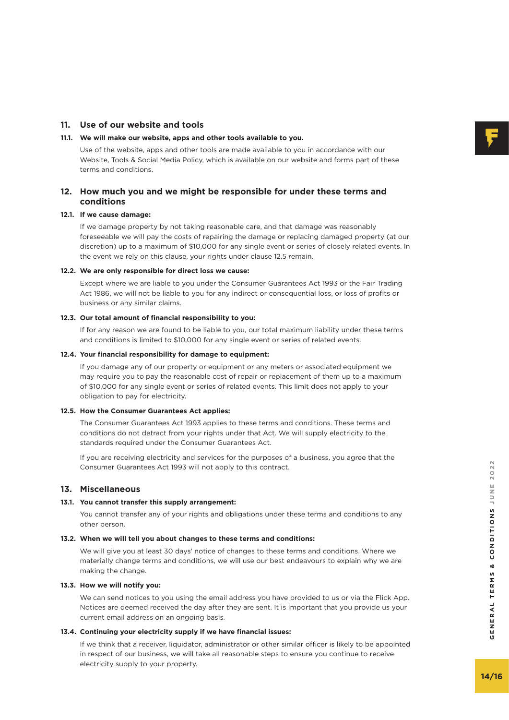# **11. Use of our website and tools**

# **11.1. We will make our website, apps and other tools available to you.**

 Use of the website, apps and other tools are made available to you in accordance with our Website, Tools & Social Media Policy, which is available on our website and forms part of these terms and conditions.

# **12. How much you and we might be responsible for under these terms and conditions**

## **12.1. If we cause damage:**

 If we damage property by not taking reasonable care, and that damage was reasonably foreseeable we will pay the costs of repairing the damage or replacing damaged property (at our discretion) up to a maximum of \$10,000 for any single event or series of closely related events. In the event we rely on this clause, your rights under clause 12.5 remain.

#### **12.2. We are only responsible for direct loss we cause:**

 Except where we are liable to you under the Consumer Guarantees Act 1993 or the Fair Trading Act 1986, we will not be liable to you for any indirect or consequential loss, or loss of profits or business or any similar claims.

## **12.3. Our total amount of financial responsibility to you:**

 If for any reason we are found to be liable to you, our total maximum liability under these terms and conditions is limited to \$10,000 for any single event or series of related events.

#### **12.4. Your financial responsibility for damage to equipment:**

 If you damage any of our property or equipment or any meters or associated equipment we may require you to pay the reasonable cost of repair or replacement of them up to a maximum of \$10,000 for any single event or series of related events. This limit does not apply to your obligation to pay for electricity.

#### **12.5. How the Consumer Guarantees Act applies:**

 The Consumer Guarantees Act 1993 applies to these terms and conditions. These terms and conditions do not detract from your rights under that Act. We will supply electricity to the standards required under the Consumer Guarantees Act.

 If you are receiving electricity and services for the purposes of a business, you agree that the Consumer Guarantees Act 1993 will not apply to this contract.

## **13. Miscellaneous**

## **13.1. You cannot transfer this supply arrangement:**

 You cannot transfer any of your rights and obligations under these terms and conditions to any other person.

## **13.2. When we will tell you about changes to these terms and conditions:**

 We will give you at least 30 days' notice of changes to these terms and conditions. Where we materially change terms and conditions, we will use our best endeavours to explain why we are making the change.

# **13.3. How we will notify you:**

 We can send notices to you using the email address you have provided to us or via the Flick App. Notices are deemed received the day after they are sent. It is important that you provide us your current email address on an ongoing basis.

#### **13.4. Continuing your electricity supply if we have financial issues:**

 If we think that a receiver, liquidator, administrator or other similar officer is likely to be appointed in respect of our business, we will take all reasonable steps to ensure you continue to receive electricity supply to your property.

GENERAL TERMS & CONDITIONS JUNE 2022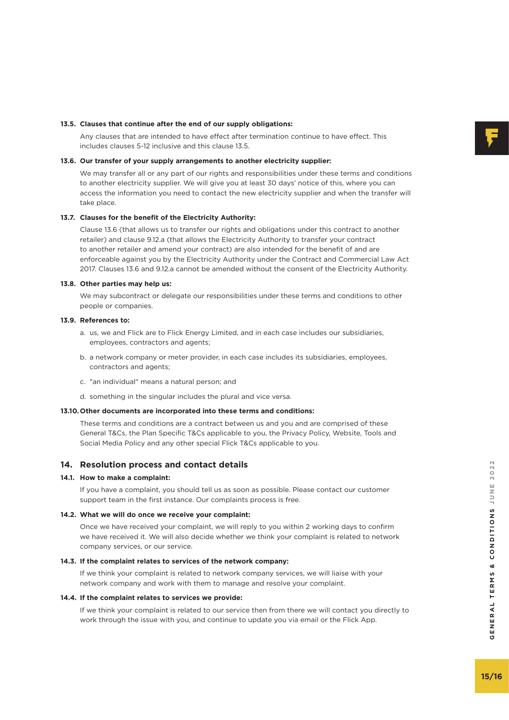# **13.5. Clauses that continue after the end of our supply obligations:**

 Any clauses that are intended to have effect after termination continue to have effect. This includes clauses 5-12 inclusive and this clause 13.5.

#### **13.6. Our transfer of your supply arrangements to another electricity supplier:**

We may transfer all or any part of our rights and responsibilities under these terms and conditions to another electricity supplier. We will give you at least 30 days' notice of this, where you can access the information you need to contact the new electricity supplier and when the transfer will take place.

## **13.7. Clauses for the benefit of the Electricity Authority:**

 Clause 13.6 (that allows us to transfer our rights and obligations under this contract to another retailer) and clause 9.12.a (that allows the Electricity Authority to transfer your contract to another retailer and amend your contract) are also intended for the benefit of and are enforceable against you by the Electricity Authority under the Contract and Commercial Law Act 2017. Clauses 13.6 and 9.12.a cannot be amended without the consent of the Electricity Authority.

#### **13.8. Other parties may help us:**

 We may subcontract or delegate our responsibilities under these terms and conditions to other people or companies.

#### **13.9. References to:**

- a. us, we and Flick are to Flick Energy Limited, and in each case includes our subsidiaries, employees, contractors and agents;
- b. a network company or meter provider, in each case includes its subsidiaries, employees, contractors and agents;
- c. "an individual" means a natural person; and
- d. something in the singular includes the plural and vice versa.

## **13.10.Other documents are incorporated into these terms and conditions:**

 These terms and conditions are a contract between us and you and are comprised of these General T&Cs, the Plan Specific T&Cs applicable to you, the Privacy Policy, Website, Tools and Social Media Policy and any other special Flick T&Cs applicable to you.

## **14. Resolution process and contact details**

#### **14.1. How to make a complaint:**

 If you have a complaint, you should tell us as soon as possible. Please contact our customer support team in the first instance. Our complaints process is free.

#### **14.2. What we will do once we receive your complaint:**

 Once we have received your complaint, we will reply to you within 2 working days to confirm we have received it. We will also decide whether we think your complaint is related to network company services, or our service.

#### **14.3. If the complaint relates to services of the network company:**

 If we think your complaint is related to network company services, we will liaise with your network company and work with them to manage and resolve your complaint.

#### **14.4. If the complaint relates to services we provide:**

 If we think your complaint is related to our service then from there we will contact you directly to work through the issue with you, and continue to update you via email or the Flick App.